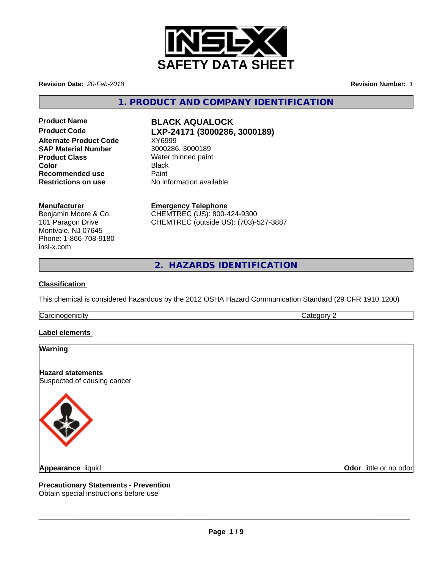

**Revision Date:** *20-Feb-2018* **Revision Number:** *1*

**1. PRODUCT AND COMPANY IDENTIFICATION**

**Product Name BLACK AQUALOCK Alternate Product Code** XY6999 **SAP Material Number** 3000286, 3000189 **Product Class** Water thinned paint<br> **Color** Black **Recommended use** Paint

# **Product Code LXP-24171 (3000286, 3000189)**

**Color** Black **Restrictions on use** No information available

# **Manufacturer**

Benjamin Moore & Co. 101 Paragon Drive Montvale, NJ 07645 Phone: 1-866-708-9180 insl-x.com

**Emergency Telephone** CHEMTREC (US): 800-424-9300 CHEMTREC (outside US): (703)-527-3887

**2. HAZARDS IDENTIFICATION**

# **Classification**

This chemical is considered hazardous by the 2012 OSHA Hazard Communication Standard (29 CFR 1910.1200)

**Carcinogenicity** Category 2

# **Label elements**

# **Warning**

**Hazard statements** Suspected of causing cancer



**Odor** little or no odor

**Precautionary Statements - Prevention**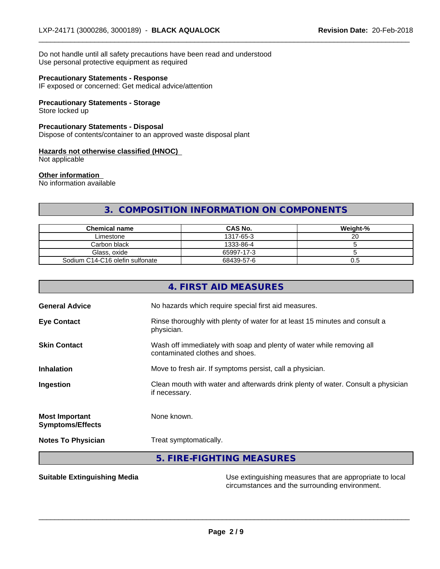Do not handle until all safety precautions have been read and understood Use personal protective equipment as required

#### **Precautionary Statements - Response**

IF exposed or concerned: Get medical advice/attention

## **Precautionary Statements - Storage**

Store locked up

## **Precautionary Statements - Disposal**

Dispose of contents/container to an approved waste disposal plant

#### **Hazards not otherwise classified (HNOC)**

Not applicable

#### **Other information**

No information available

# **3. COMPOSITION INFORMATION ON COMPONENTS**

 $\overline{\phantom{a}}$  ,  $\overline{\phantom{a}}$  ,  $\overline{\phantom{a}}$  ,  $\overline{\phantom{a}}$  ,  $\overline{\phantom{a}}$  ,  $\overline{\phantom{a}}$  ,  $\overline{\phantom{a}}$  ,  $\overline{\phantom{a}}$  ,  $\overline{\phantom{a}}$  ,  $\overline{\phantom{a}}$  ,  $\overline{\phantom{a}}$  ,  $\overline{\phantom{a}}$  ,  $\overline{\phantom{a}}$  ,  $\overline{\phantom{a}}$  ,  $\overline{\phantom{a}}$  ,  $\overline{\phantom{a}}$ 

| <b>Chemical name</b>            | <b>CAS No.</b> | Weight-% |
|---------------------------------|----------------|----------|
| Limestone                       | 1317-65-3      |          |
| Carbon black                    | 1333-86-4      |          |
| Glass, oxide                    | 65997-17-3     |          |
| Sodium C14-C16 olefin sulfonate | 68439-57-6     | U.5      |

| <b>Symptoms/Effects</b> |                                                                                                          |
|-------------------------|----------------------------------------------------------------------------------------------------------|
| <b>Most Important</b>   | None known.                                                                                              |
| Ingestion               | Clean mouth with water and afterwards drink plenty of water. Consult a physician<br>if necessary.        |
| <b>Inhalation</b>       | Move to fresh air. If symptoms persist, call a physician.                                                |
| <b>Skin Contact</b>     | Wash off immediately with soap and plenty of water while removing all<br>contaminated clothes and shoes. |
| <b>Eye Contact</b>      | Rinse thoroughly with plenty of water for at least 15 minutes and consult a<br>physician.                |
| <b>General Advice</b>   | No hazards which require special first aid measures.                                                     |

**Suitable Extinguishing Media** Manual Use extinguishing measures that are appropriate to local circumstances and the surrounding environment.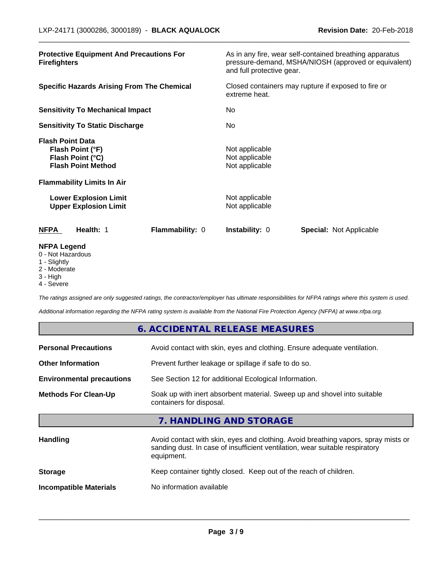| <b>Protective Equipment And Precautions For</b><br><b>Firefighters</b>                                                            | As in any fire, wear self-contained breathing apparatus<br>pressure-demand, MSHA/NIOSH (approved or equivalent)<br>and full protective gear. |  |
|-----------------------------------------------------------------------------------------------------------------------------------|----------------------------------------------------------------------------------------------------------------------------------------------|--|
| <b>Specific Hazards Arising From The Chemical</b>                                                                                 | Closed containers may rupture if exposed to fire or<br>extreme heat.                                                                         |  |
| <b>Sensitivity To Mechanical Impact</b>                                                                                           | No                                                                                                                                           |  |
| <b>Sensitivity To Static Discharge</b>                                                                                            | No                                                                                                                                           |  |
| <b>Flash Point Data</b><br>Flash Point (°F)<br>Flash Point (°C)<br><b>Flash Point Method</b><br><b>Flammability Limits In Air</b> | Not applicable<br>Not applicable<br>Not applicable                                                                                           |  |
| <b>Lower Explosion Limit</b><br><b>Upper Explosion Limit</b>                                                                      | Not applicable<br>Not applicable                                                                                                             |  |
| Flammability: 0<br><b>NFPA</b><br>Health: 1                                                                                       | <b>Special: Not Applicable</b><br><b>Instability: 0</b>                                                                                      |  |
| <b>NFPA Legend</b><br>0 - Not Hazardous                                                                                           |                                                                                                                                              |  |

 $\overline{\phantom{a}}$  ,  $\overline{\phantom{a}}$  ,  $\overline{\phantom{a}}$  ,  $\overline{\phantom{a}}$  ,  $\overline{\phantom{a}}$  ,  $\overline{\phantom{a}}$  ,  $\overline{\phantom{a}}$  ,  $\overline{\phantom{a}}$  ,  $\overline{\phantom{a}}$  ,  $\overline{\phantom{a}}$  ,  $\overline{\phantom{a}}$  ,  $\overline{\phantom{a}}$  ,  $\overline{\phantom{a}}$  ,  $\overline{\phantom{a}}$  ,  $\overline{\phantom{a}}$  ,  $\overline{\phantom{a}}$ 

- 
- 1 Slightly
- 2 Moderate
- 3 High
- 4 Severe

*The ratings assigned are only suggested ratings, the contractor/employer has ultimate responsibilities for NFPA ratings where this system is used.*

*Additional information regarding the NFPA rating system is available from the National Fire Protection Agency (NFPA) at www.nfpa.org.*

|                                                                                           | 6. ACCIDENTAL RELEASE MEASURES                                                                                                                                                   |  |  |
|-------------------------------------------------------------------------------------------|----------------------------------------------------------------------------------------------------------------------------------------------------------------------------------|--|--|
| <b>Personal Precautions</b>                                                               | Avoid contact with skin, eyes and clothing. Ensure adequate ventilation.                                                                                                         |  |  |
| <b>Other Information</b>                                                                  | Prevent further leakage or spillage if safe to do so.                                                                                                                            |  |  |
| <b>Environmental precautions</b><br>See Section 12 for additional Ecological Information. |                                                                                                                                                                                  |  |  |
| <b>Methods For Clean-Up</b>                                                               | Soak up with inert absorbent material. Sweep up and shovel into suitable<br>containers for disposal.                                                                             |  |  |
|                                                                                           | 7. HANDLING AND STORAGE                                                                                                                                                          |  |  |
| <b>Handling</b>                                                                           | Avoid contact with skin, eyes and clothing. Avoid breathing vapors, spray mists or<br>sanding dust. In case of insufficient ventilation, wear suitable respiratory<br>equipment. |  |  |
| <b>Storage</b>                                                                            | Keep container tightly closed. Keep out of the reach of children.                                                                                                                |  |  |
| <b>Incompatible Materials</b>                                                             | No information available                                                                                                                                                         |  |  |
|                                                                                           |                                                                                                                                                                                  |  |  |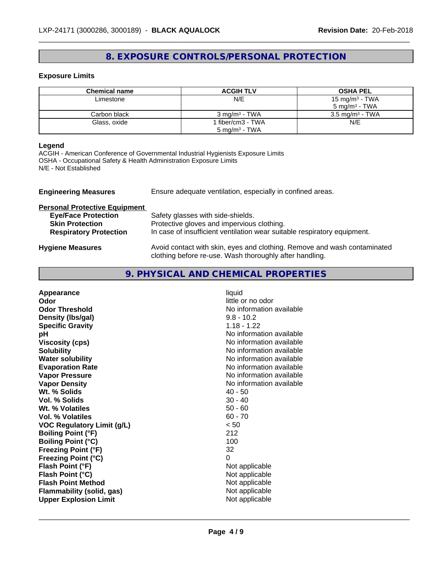# **8. EXPOSURE CONTROLS/PERSONAL PROTECTION**

 $\overline{\phantom{a}}$  ,  $\overline{\phantom{a}}$  ,  $\overline{\phantom{a}}$  ,  $\overline{\phantom{a}}$  ,  $\overline{\phantom{a}}$  ,  $\overline{\phantom{a}}$  ,  $\overline{\phantom{a}}$  ,  $\overline{\phantom{a}}$  ,  $\overline{\phantom{a}}$  ,  $\overline{\phantom{a}}$  ,  $\overline{\phantom{a}}$  ,  $\overline{\phantom{a}}$  ,  $\overline{\phantom{a}}$  ,  $\overline{\phantom{a}}$  ,  $\overline{\phantom{a}}$  ,  $\overline{\phantom{a}}$ 

# **Exposure Limits**

| <b>Chemical name</b> | <b>ACGIH TLV</b>         | <b>OSHA PEL</b>            |
|----------------------|--------------------------|----------------------------|
| Limestone            | N/E                      | 15 mg/m <sup>3</sup> - TWA |
|                      |                          | $5 \text{ ma/m}^3$ - TWA   |
| Carbon black         | $3 \text{ mg/m}^3$ - TWA | $3.5 \text{ mg/m}^3$ - TWA |
| Glass, oxide         | fiber/cm3 - TWA          | N/E                        |
|                      | $5 \text{ mg/m}^3$ - TWA |                            |

# **Legend**

ACGIH - American Conference of Governmental Industrial Hygienists Exposure Limits OSHA - Occupational Safety & Health Administration Exposure Limits N/E - Not Established

| <b>Engineering Measures</b>          | Ensure adequate ventilation, especially in confined areas.                                                                          |  |  |
|--------------------------------------|-------------------------------------------------------------------------------------------------------------------------------------|--|--|
| <b>Personal Protective Equipment</b> |                                                                                                                                     |  |  |
| <b>Eye/Face Protection</b>           | Safety glasses with side-shields.                                                                                                   |  |  |
| <b>Skin Protection</b>               | Protective gloves and impervious clothing.                                                                                          |  |  |
| <b>Respiratory Protection</b>        | In case of insufficient ventilation wear suitable respiratory equipment.                                                            |  |  |
| <b>Hygiene Measures</b>              | Avoid contact with skin, eyes and clothing. Remove and wash contaminated<br>clothing before re-use. Wash thoroughly after handling. |  |  |

# **9. PHYSICAL AND CHEMICAL PROPERTIES**

| Wt. % Solids<br>$40 - 50$<br>Vol. % Solids<br>$30 - 40$<br>$50 - 60$<br>Wt. % Volatiles<br>$60 - 70$<br>Vol. % Volatiles<br>< 50<br><b>VOC Regulatory Limit (g/L)</b><br>212<br><b>Boiling Point (°F)</b><br>100<br><b>Boiling Point (°C)</b><br>32<br><b>Freezing Point (°F)</b><br><b>Freezing Point (°C)</b><br>0<br>Flash Point (°F)<br>Not applicable<br>Flash Point (°C)<br>Not applicable<br><b>Flash Point Method</b><br>Not applicable<br>Not applicable<br>Flammability (solid, gas) | Appearance<br>Odor<br><b>Odor Threshold</b><br>Density (Ibs/gal)<br><b>Specific Gravity</b><br>pH<br><b>Viscosity (cps)</b><br><b>Solubility</b><br><b>Water solubility</b><br><b>Evaporation Rate</b><br><b>Vapor Pressure</b><br><b>Vapor Density</b> | liquid<br>little or no odor<br>No information available<br>$9.8 - 10.2$<br>$1.18 - 1.22$<br>No information available<br>No information available<br>No information available<br>No information available<br>No information available<br>No information available<br>No information available |
|------------------------------------------------------------------------------------------------------------------------------------------------------------------------------------------------------------------------------------------------------------------------------------------------------------------------------------------------------------------------------------------------------------------------------------------------------------------------------------------------|---------------------------------------------------------------------------------------------------------------------------------------------------------------------------------------------------------------------------------------------------------|----------------------------------------------------------------------------------------------------------------------------------------------------------------------------------------------------------------------------------------------------------------------------------------------|
|------------------------------------------------------------------------------------------------------------------------------------------------------------------------------------------------------------------------------------------------------------------------------------------------------------------------------------------------------------------------------------------------------------------------------------------------------------------------------------------------|---------------------------------------------------------------------------------------------------------------------------------------------------------------------------------------------------------------------------------------------------------|----------------------------------------------------------------------------------------------------------------------------------------------------------------------------------------------------------------------------------------------------------------------------------------------|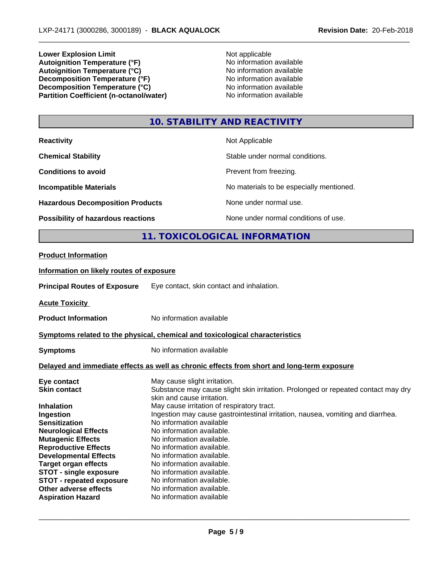**Lower Explosion Limit**<br> **Autoignition Temperature (°F)**<br> **Autoignition Temperature (°F)**<br> **Autoignition Temperature (°F)**<br> **Autoignition Temperature (°F) Autoignition Temperature (°F)**<br> **Autoignition Temperature (°C)** No information available Autoignition Temperature (°C)<br>
Decomposition Temperature (°F)<br>
No information available **Decomposition Temperature (°F)**<br> **Decomposition Temperature (°C)**<br>
No information available **Decomposition Temperature (°C)**<br> **Partition Coefficient (n-octanol/water)** No information available **Partition Coefficient (n-octanol/water)** 

 $\overline{\phantom{a}}$  ,  $\overline{\phantom{a}}$  ,  $\overline{\phantom{a}}$  ,  $\overline{\phantom{a}}$  ,  $\overline{\phantom{a}}$  ,  $\overline{\phantom{a}}$  ,  $\overline{\phantom{a}}$  ,  $\overline{\phantom{a}}$  ,  $\overline{\phantom{a}}$  ,  $\overline{\phantom{a}}$  ,  $\overline{\phantom{a}}$  ,  $\overline{\phantom{a}}$  ,  $\overline{\phantom{a}}$  ,  $\overline{\phantom{a}}$  ,  $\overline{\phantom{a}}$  ,  $\overline{\phantom{a}}$ 

# **10. STABILITY AND REACTIVITY**

| <b>Reactivity</b>                                                                      |                                                                                     | Not Applicable                                                                             |
|----------------------------------------------------------------------------------------|-------------------------------------------------------------------------------------|--------------------------------------------------------------------------------------------|
| <b>Chemical Stability</b>                                                              |                                                                                     | Stable under normal conditions.                                                            |
| <b>Conditions to avoid</b>                                                             |                                                                                     | Prevent from freezing.                                                                     |
| <b>Incompatible Materials</b>                                                          |                                                                                     | No materials to be especially mentioned.                                                   |
| <b>Hazardous Decomposition Products</b>                                                |                                                                                     | None under normal use.                                                                     |
| Possibility of hazardous reactions                                                     |                                                                                     | None under normal conditions of use.                                                       |
|                                                                                        |                                                                                     | 11. TOXICOLOGICAL INFORMATION                                                              |
| <b>Product Information</b>                                                             |                                                                                     |                                                                                            |
| Information on likely routes of exposure                                               |                                                                                     |                                                                                            |
| <b>Principal Routes of Exposure</b>                                                    | Eye contact, skin contact and inhalation.                                           |                                                                                            |
| <b>Acute Toxicity</b>                                                                  |                                                                                     |                                                                                            |
| <b>Product Information</b>                                                             | No information available                                                            |                                                                                            |
| Symptoms related to the physical, chemical and toxicological characteristics           |                                                                                     |                                                                                            |
| <b>Symptoms</b>                                                                        | No information available                                                            |                                                                                            |
|                                                                                        |                                                                                     | Delayed and immediate effects as well as chronic effects from short and long-term exposure |
| Eye contact<br><b>Skin contact</b>                                                     | May cause slight irritation.<br>skin and cause irritation.                          | Substance may cause slight skin irritation. Prolonged or repeated contact may dry          |
| Inhalation<br>Ingestion<br><b>Sensitization</b>                                        | May cause irritation of respiratory tract.<br>No information available              | Ingestion may cause gastrointestinal irritation, nausea, vomiting and diarrhea.            |
| <b>Neurological Effects</b><br><b>Mutagenic Effects</b><br><b>Reproductive Effects</b> | No information available.<br>No information available.<br>No information available. |                                                                                            |
| <b>Developmental Effects</b>                                                           | No information available.                                                           |                                                                                            |

**Target organ effects** No information available.<br>**STOT - single exposure** No information available. **STOT** - single exposure **STOT - repeated exposure** No information available.<br> **Other adverse effects** No information available. **Other adverse effects Aspiration Hazard** No information available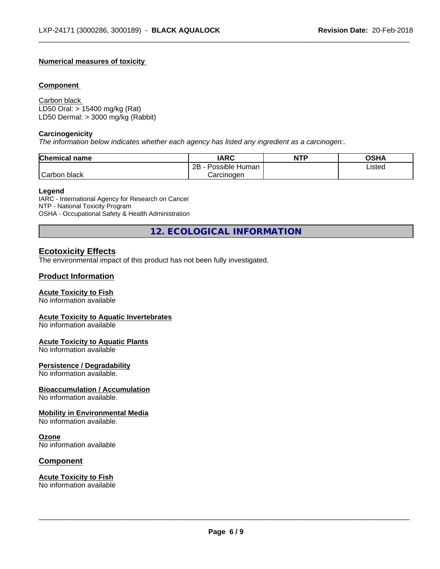## **Numerical measures of toxicity**

#### **Component**

Carbon black LD50 Oral: > 15400 mg/kg (Rat) LD50 Dermal: > 3000 mg/kg (Rabbit)

#### **Carcinogenicity**

*The information below indicateswhether each agency has listed any ingredient as a carcinogen:.*

| <b>Chemical name</b> | <b>IARC</b>                    | <b>NTP</b> | <b>OSHA</b> |
|----------------------|--------------------------------|------------|-------------|
|                      | .<br>2B<br>: Human<br>Possible |            | Listed<br>. |
| Carbon<br>black      | Carcinogen                     |            |             |

 $\overline{\phantom{a}}$  ,  $\overline{\phantom{a}}$  ,  $\overline{\phantom{a}}$  ,  $\overline{\phantom{a}}$  ,  $\overline{\phantom{a}}$  ,  $\overline{\phantom{a}}$  ,  $\overline{\phantom{a}}$  ,  $\overline{\phantom{a}}$  ,  $\overline{\phantom{a}}$  ,  $\overline{\phantom{a}}$  ,  $\overline{\phantom{a}}$  ,  $\overline{\phantom{a}}$  ,  $\overline{\phantom{a}}$  ,  $\overline{\phantom{a}}$  ,  $\overline{\phantom{a}}$  ,  $\overline{\phantom{a}}$ 

#### **Legend**

IARC - International Agency for Research on Cancer NTP - National Toxicity Program OSHA - Occupational Safety & Health Administration

**12. ECOLOGICAL INFORMATION**

# **Ecotoxicity Effects**

The environmental impact of this product has not been fully investigated.

# **Product Information**

## **Acute Toxicity to Fish**

No information available

#### **Acute Toxicity to Aquatic Invertebrates**

No information available

#### **Acute Toxicity to Aquatic Plants**

No information available

#### **Persistence / Degradability**

No information available.

#### **Bioaccumulation / Accumulation**

No information available.

#### **Mobility in Environmental Media**

No information available.

#### **Ozone**

No information available

#### **Component**

# **Acute Toxicity to Fish**

No information available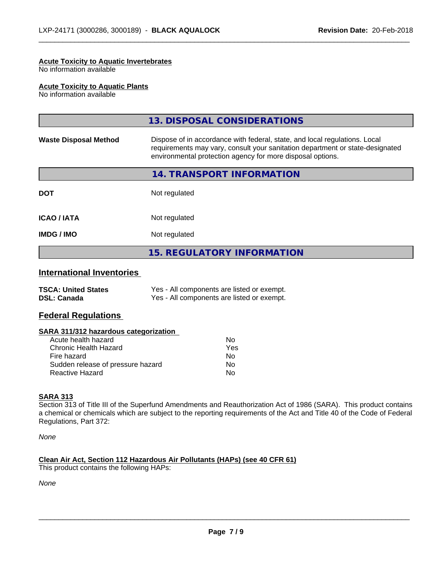#### **Acute Toxicity to Aquatic Invertebrates**

No information available

#### **Acute Toxicity to Aquatic Plants**

No information available

|                              | 13. DISPOSAL CONSIDERATIONS                                                                                                                                                                                               |
|------------------------------|---------------------------------------------------------------------------------------------------------------------------------------------------------------------------------------------------------------------------|
| <b>Waste Disposal Method</b> | Dispose of in accordance with federal, state, and local regulations. Local<br>requirements may vary, consult your sanitation department or state-designated<br>environmental protection agency for more disposal options. |
|                              | 14. TRANSPORT INFORMATION                                                                                                                                                                                                 |
| <b>DOT</b>                   | Not regulated                                                                                                                                                                                                             |
| <b>ICAO/IATA</b>             | Not regulated                                                                                                                                                                                                             |
| <b>IMDG/IMO</b>              | Not regulated                                                                                                                                                                                                             |
|                              | <b>15. REGULATORY INFORMATION</b>                                                                                                                                                                                         |
|                              |                                                                                                                                                                                                                           |

 $\overline{\phantom{a}}$  ,  $\overline{\phantom{a}}$  ,  $\overline{\phantom{a}}$  ,  $\overline{\phantom{a}}$  ,  $\overline{\phantom{a}}$  ,  $\overline{\phantom{a}}$  ,  $\overline{\phantom{a}}$  ,  $\overline{\phantom{a}}$  ,  $\overline{\phantom{a}}$  ,  $\overline{\phantom{a}}$  ,  $\overline{\phantom{a}}$  ,  $\overline{\phantom{a}}$  ,  $\overline{\phantom{a}}$  ,  $\overline{\phantom{a}}$  ,  $\overline{\phantom{a}}$  ,  $\overline{\phantom{a}}$ 

# **International Inventories**

| <b>TSCA: United States</b> | Yes - All components are listed or exempt. |
|----------------------------|--------------------------------------------|
| <b>DSL: Canada</b>         | Yes - All components are listed or exempt. |

#### **Federal Regulations**

#### **SARA 311/312 hazardous categorization**

| Acute health hazard               | Nο  |
|-----------------------------------|-----|
| Chronic Health Hazard             | Yes |
| Fire hazard                       | N٥  |
| Sudden release of pressure hazard | Nο  |
| Reactive Hazard                   | Nο  |

#### **SARA 313**

Section 313 of Title III of the Superfund Amendments and Reauthorization Act of 1986 (SARA). This product contains a chemical or chemicals which are subject to the reporting requirements of the Act and Title 40 of the Code of Federal Regulations, Part 372:

*None*

# **Clean Air Act,Section 112 Hazardous Air Pollutants (HAPs) (see 40 CFR 61)**

This product contains the following HAPs:

*None*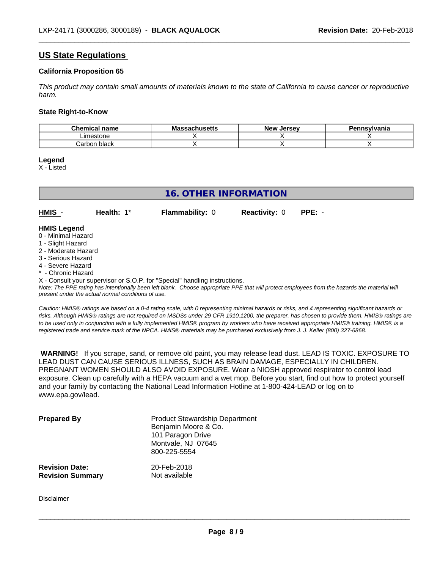# **US State Regulations**

#### **California Proposition 65**

This product may contain small amounts of materials known to the state of California to cause cancer or reproductive *harm.*

 $\overline{\phantom{a}}$  ,  $\overline{\phantom{a}}$  ,  $\overline{\phantom{a}}$  ,  $\overline{\phantom{a}}$  ,  $\overline{\phantom{a}}$  ,  $\overline{\phantom{a}}$  ,  $\overline{\phantom{a}}$  ,  $\overline{\phantom{a}}$  ,  $\overline{\phantom{a}}$  ,  $\overline{\phantom{a}}$  ,  $\overline{\phantom{a}}$  ,  $\overline{\phantom{a}}$  ,  $\overline{\phantom{a}}$  ,  $\overline{\phantom{a}}$  ,  $\overline{\phantom{a}}$  ,  $\overline{\phantom{a}}$ 

#### **State Right-to-Know**

| $\sim$<br>hemical name<br>.       | $\cdots$<br>MЗ<br><b>3971199611</b> | . Jersev<br><b>Nev</b> | Pennsvlvania |
|-----------------------------------|-------------------------------------|------------------------|--------------|
| Limestone                         |                                     |                        |              |
| `੧rbon black<br>التأث<br>'i Diach |                                     |                        |              |

**Legend**

X - Listed

# **16. OTHER INFORMATION**

| <b>HMIS</b>        | Health: $1^*$ | <b>Flammability: 0</b> | <b>Reactivity: 0</b> | $PPE: -$ |
|--------------------|---------------|------------------------|----------------------|----------|
| <b>HMIS Legend</b> |               |                        |                      |          |

- 0 Minimal Hazard
- 1 Slight Hazard
- 2 Moderate Hazard
- 3 Serious Hazard
- 4 Severe Hazard
- \* Chronic Hazard
- X Consult your supervisor or S.O.P. for "Special" handling instructions.

*Note: The PPE rating has intentionally been left blank. Choose appropriate PPE that will protect employees from the hazards the material will present under the actual normal conditions of use.*

*Caution: HMISÒ ratings are based on a 0-4 rating scale, with 0 representing minimal hazards or risks, and 4 representing significant hazards or risks. Although HMISÒ ratings are not required on MSDSs under 29 CFR 1910.1200, the preparer, has chosen to provide them. HMISÒ ratings are to be used only in conjunction with a fully implemented HMISÒ program by workers who have received appropriate HMISÒ training. HMISÒ is a registered trade and service mark of the NPCA. HMISÒ materials may be purchased exclusively from J. J. Keller (800) 327-6868.*

 **WARNING!** If you scrape, sand, or remove old paint, you may release lead dust. LEAD IS TOXIC. EXPOSURE TO LEAD DUST CAN CAUSE SERIOUS ILLNESS, SUCH AS BRAIN DAMAGE, ESPECIALLY IN CHILDREN. PREGNANT WOMEN SHOULD ALSO AVOID EXPOSURE.Wear a NIOSH approved respirator to control lead exposure. Clean up carefully with a HEPA vacuum and a wet mop. Before you start, find out how to protect yourself and your family by contacting the National Lead Information Hotline at 1-800-424-LEAD or log on to www.epa.gov/lead.

| <b>Prepared By</b>      | <b>Product Stewardship Department</b><br>Benjamin Moore & Co.<br>101 Paragon Drive<br>Montvale, NJ 07645<br>800-225-5554 |
|-------------------------|--------------------------------------------------------------------------------------------------------------------------|
| <b>Revision Date:</b>   | 20-Feb-2018                                                                                                              |
| <b>Revision Summary</b> | Not available                                                                                                            |

Disclaimer